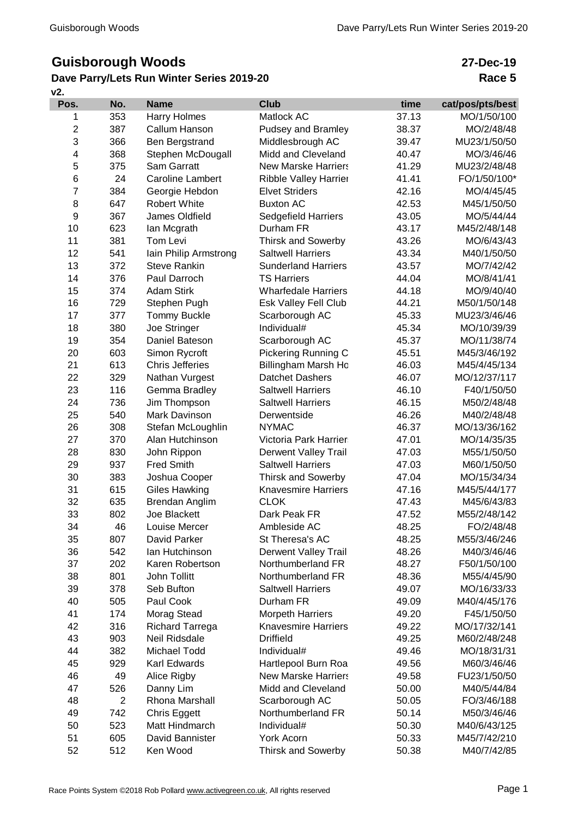# **Guisborough Woods**

### **v2. Dave Parry/Lets Run Winter Series 2019-20**

## **27-Dec-19 Race 5**

| Pos.           | No.            | <b>Name</b>                    | <b>Club</b>                 | time           | cat/pos/pts/best |
|----------------|----------------|--------------------------------|-----------------------------|----------------|------------------|
| 1              | 353            | Harry Holmes                   | Matlock AC                  | 37.13          | MO/1/50/100      |
| 2              | 387            | Callum Hanson                  | Pudsey and Bramley          | 38.37          | MO/2/48/48       |
| 3              | 366            | Ben Bergstrand                 | Middlesbrough AC            | 39.47          | MU23/1/50/50     |
| 4              | 368            | Stephen McDougall              | Midd and Cleveland          | 40.47          | MO/3/46/46       |
| 5              | 375            | <b>Sam Garratt</b>             | <b>New Marske Harriers</b>  | 41.29          | MU23/2/48/48     |
| 6              | 24             | <b>Caroline Lambert</b>        | Ribble Valley Harrier       | 41.41          | FO/1/50/100*     |
| $\overline{7}$ | 384            | Georgie Hebdon                 | <b>Elvet Striders</b>       | 42.16          | MO/4/45/45       |
| 8              | 647            | <b>Robert White</b>            | <b>Buxton AC</b>            | 42.53          | M45/1/50/50      |
| 9              | 367            | James Oldfield                 | <b>Sedgefield Harriers</b>  | 43.05          | MO/5/44/44       |
| 10             | 623            | lan Mcgrath                    | Durham FR                   | 43.17          | M45/2/48/148     |
| 11             | 381            | Tom Levi                       | <b>Thirsk and Sowerby</b>   | 43.26          | MO/6/43/43       |
| 12             | 541            | lain Philip Armstrong          | <b>Saltwell Harriers</b>    | 43.34          | M40/1/50/50      |
| 13             | 372            | <b>Steve Rankin</b>            | <b>Sunderland Harriers</b>  | 43.57          | MO/7/42/42       |
| 14             | 376            | Paul Darroch                   | <b>TS Harriers</b>          | 44.04          | MO/8/41/41       |
| 15             | 374            | <b>Adam Stirk</b>              | <b>Wharfedale Harriers</b>  | 44.18          | MO/9/40/40       |
| 16             | 729            | Stephen Pugh                   | Esk Valley Fell Club        | 44.21          | M50/1/50/148     |
| 17             | 377            | <b>Tommy Buckle</b>            | Scarborough AC              | 45.33          | MU23/3/46/46     |
| 18             | 380            | Joe Stringer                   | Individual#                 | 45.34          | MO/10/39/39      |
| 19             | 354            | Daniel Bateson                 | Scarborough AC              | 45.37          | MO/11/38/74      |
| 20             | 603            | Simon Rycroft                  | Pickering Running C         | 45.51          | M45/3/46/192     |
| 21             | 613            | <b>Chris Jefferies</b>         | Billingham Marsh Ho         | 46.03          | M45/4/45/134     |
| 22             | 329            | Nathan Vurgest                 | <b>Datchet Dashers</b>      | 46.07          | MO/12/37/117     |
| 23             | 116            | Gemma Bradley                  | <b>Saltwell Harriers</b>    | 46.10          | F40/1/50/50      |
| 24             | 736            | Jim Thompson                   | <b>Saltwell Harriers</b>    | 46.15          | M50/2/48/48      |
| 25             | 540            | Mark Davinson                  | Derwentside                 | 46.26          | M40/2/48/48      |
| 26             | 308            | Stefan McLoughlin              | <b>NYMAC</b>                | 46.37          | MO/13/36/162     |
| 27             | 370            | Alan Hutchinson                | Victoria Park Harrier       | 47.01          | MO/14/35/35      |
| 28             | 830            | John Rippon                    | <b>Derwent Valley Trail</b> | 47.03          | M55/1/50/50      |
| 29             | 937            | <b>Fred Smith</b>              | <b>Saltwell Harriers</b>    | 47.03          | M60/1/50/50      |
| 30             | 383            | Joshua Cooper                  | Thirsk and Sowerby          | 47.04          | MO/15/34/34      |
| 31             | 615            | <b>Giles Hawking</b>           | <b>Knavesmire Harriers</b>  | 47.16          | M45/5/44/177     |
| 32             | 635            |                                | <b>CLOK</b>                 | 47.43          | M45/6/43/83      |
| 33             | 802            | Brendan Anglim<br>Joe Blackett | Dark Peak FR                |                | M55/2/48/142     |
| 34             | 46             | Louise Mercer                  |                             | 47.52<br>48.25 | FO/2/48/48       |
|                |                |                                | Ambleside AC                |                |                  |
| 35             | 807            | David Parker<br>Ian Hutchinson | St Theresa's AC             | 48.25          | M55/3/46/246     |
| 36             | 542            |                                | <b>Derwent Valley Trail</b> | 48.26          | M40/3/46/46      |
| 37             | 202            | Karen Robertson                | Northumberland FR           | 48.27          | F50/1/50/100     |
| 38             | 801            | John Tollitt                   | Northumberland FR           | 48.36          | M55/4/45/90      |
| 39             | 378            | Seb Bufton                     | <b>Saltwell Harriers</b>    | 49.07          | MO/16/33/33      |
| 40             | 505            | Paul Cook                      | Durham FR                   | 49.09          | M40/4/45/176     |
| 41             | 174            | Morag Stead                    | <b>Morpeth Harriers</b>     | 49.20          | F45/1/50/50      |
| 42             | 316            | <b>Richard Tarrega</b>         | <b>Knavesmire Harriers</b>  | 49.22          | MO/17/32/141     |
| 43             | 903            | Neil Ridsdale                  | <b>Driffield</b>            | 49.25          | M60/2/48/248     |
| 44             | 382            | Michael Todd                   | Individual#                 | 49.46          | MO/18/31/31      |
| 45             | 929            | Karl Edwards                   | Hartlepool Burn Roa         | 49.56          | M60/3/46/46      |
| 46             | 49             | Alice Rigby                    | <b>New Marske Harriers</b>  | 49.58          | FU23/1/50/50     |
| 47             | 526            | Danny Lim                      | Midd and Cleveland          | 50.00          | M40/5/44/84      |
| 48             | $\overline{c}$ | Rhona Marshall                 | Scarborough AC              | 50.05          | FO/3/46/188      |
| 49             | 742            | Chris Eggett                   | Northumberland FR           | 50.14          | M50/3/46/46      |
| 50             | 523            | Matt Hindmarch                 | Individual#                 | 50.30          | M40/6/43/125     |
| 51             | 605            | David Bannister                | York Acorn                  | 50.33          | M45/7/42/210     |
| 52             | 512            | Ken Wood                       | Thirsk and Sowerby          | 50.38          | M40/7/42/85      |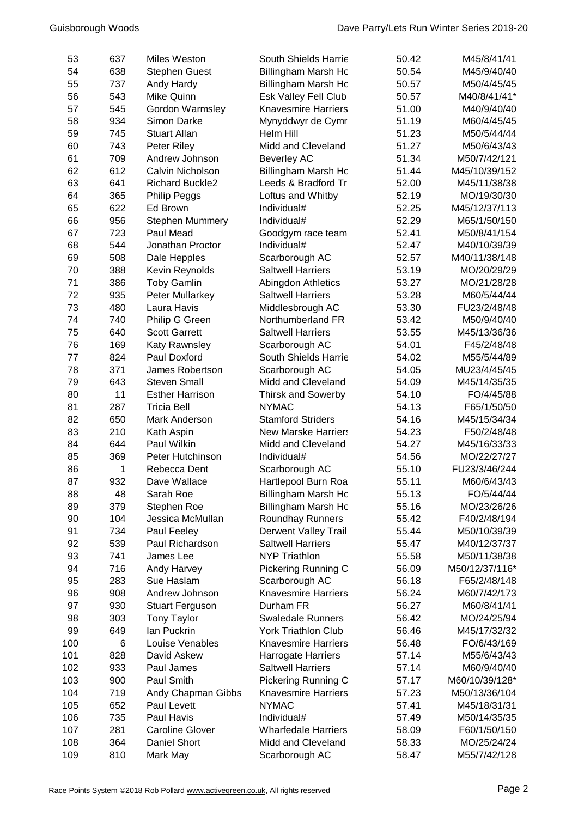| 53  | 637 | Miles Weston           | South Shields Harrie        | 50.42 | M45/8/41/41    |
|-----|-----|------------------------|-----------------------------|-------|----------------|
| 54  | 638 | <b>Stephen Guest</b>   | Billingham Marsh Ho         | 50.54 | M45/9/40/40    |
| 55  | 737 | Andy Hardy             | Billingham Marsh Ho         | 50.57 | M50/4/45/45    |
| 56  | 543 | Mike Quinn             | Esk Valley Fell Club        | 50.57 | M40/8/41/41*   |
| 57  | 545 | Gordon Warmsley        | <b>Knavesmire Harriers</b>  | 51.00 | M40/9/40/40    |
| 58  | 934 | Simon Darke            | Mynyddwyr de Cymr           | 51.19 | M60/4/45/45    |
| 59  | 745 | <b>Stuart Allan</b>    | Helm Hill                   | 51.23 | M50/5/44/44    |
| 60  | 743 | Peter Riley            | Midd and Cleveland          | 51.27 | M50/6/43/43    |
| 61  | 709 | Andrew Johnson         | <b>Beverley AC</b>          | 51.34 | M50/7/42/121   |
| 62  | 612 | Calvin Nicholson       | Billingham Marsh Ho         | 51.44 | M45/10/39/152  |
| 63  | 641 | <b>Richard Buckle2</b> | Leeds & Bradford Tri        | 52.00 | M45/11/38/38   |
| 64  | 365 | <b>Philip Peggs</b>    | Loftus and Whitby           | 52.19 | MO/19/30/30    |
| 65  | 622 | Ed Brown               | Individual#                 | 52.25 | M45/12/37/113  |
| 66  | 956 | Stephen Mummery        | Individual#                 | 52.29 | M65/1/50/150   |
| 67  | 723 | Paul Mead              | Goodgym race team           | 52.41 | M50/8/41/154   |
| 68  | 544 | Jonathan Proctor       | Individual#                 | 52.47 | M40/10/39/39   |
| 69  | 508 | Dale Hepples           | Scarborough AC              | 52.57 | M40/11/38/148  |
| 70  | 388 | Kevin Reynolds         | <b>Saltwell Harriers</b>    | 53.19 | MO/20/29/29    |
| 71  | 386 | <b>Toby Gamlin</b>     | Abingdon Athletics          | 53.27 | MO/21/28/28    |
| 72  | 935 | Peter Mullarkey        | <b>Saltwell Harriers</b>    | 53.28 | M60/5/44/44    |
| 73  | 480 | Laura Havis            | Middlesbrough AC            | 53.30 | FU23/2/48/48   |
| 74  | 740 | Philip G Green         | Northumberland FR           | 53.42 | M50/9/40/40    |
| 75  | 640 | <b>Scott Garrett</b>   | <b>Saltwell Harriers</b>    | 53.55 | M45/13/36/36   |
| 76  | 169 | Katy Rawnsley          | Scarborough AC              | 54.01 | F45/2/48/48    |
| 77  | 824 | Paul Doxford           | South Shields Harrie        | 54.02 | M55/5/44/89    |
| 78  | 371 | James Robertson        | Scarborough AC              | 54.05 | MU23/4/45/45   |
| 79  | 643 | <b>Steven Small</b>    | Midd and Cleveland          | 54.09 | M45/14/35/35   |
| 80  | 11  | <b>Esther Harrison</b> | <b>Thirsk and Sowerby</b>   | 54.10 | FO/4/45/88     |
| 81  | 287 | <b>Tricia Bell</b>     | <b>NYMAC</b>                | 54.13 | F65/1/50/50    |
| 82  | 650 | Mark Anderson          | <b>Stamford Striders</b>    | 54.16 | M45/15/34/34   |
| 83  | 210 | Kath Aspin             | <b>New Marske Harriers</b>  | 54.23 | F50/2/48/48    |
| 84  | 644 | Paul Wilkin            | Midd and Cleveland          | 54.27 | M45/16/33/33   |
| 85  | 369 | Peter Hutchinson       | Individual#                 | 54.56 | MO/22/27/27    |
| 86  | 1   | Rebecca Dent           | Scarborough AC              | 55.10 | FU23/3/46/244  |
| 87  | 932 | Dave Wallace           | Hartlepool Burn Roa         | 55.11 | M60/6/43/43    |
| 88  | 48  | Sarah Roe              | Billingham Marsh Ho         | 55.13 | FO/5/44/44     |
| 89  | 379 | Stephen Roe            | Billingham Marsh Ho         | 55.16 | MO/23/26/26    |
| 90  | 104 | Jessica McMullan       | <b>Roundhay Runners</b>     | 55.42 | F40/2/48/194   |
| 91  | 734 | Paul Feeley            | <b>Derwent Valley Trail</b> | 55.44 | M50/10/39/39   |
| 92  | 539 | Paul Richardson        | <b>Saltwell Harriers</b>    | 55.47 | M40/12/37/37   |
| 93  | 741 | James Lee              | <b>NYP Triathlon</b>        | 55.58 | M50/11/38/38   |
| 94  | 716 | Andy Harvey            | <b>Pickering Running C</b>  | 56.09 | M50/12/37/116* |
| 95  | 283 | Sue Haslam             | Scarborough AC              | 56.18 | F65/2/48/148   |
| 96  | 908 | Andrew Johnson         | <b>Knavesmire Harriers</b>  | 56.24 | M60/7/42/173   |
| 97  | 930 | <b>Stuart Ferguson</b> | Durham FR                   | 56.27 | M60/8/41/41    |
| 98  | 303 | <b>Tony Taylor</b>     | <b>Swaledale Runners</b>    | 56.42 | MO/24/25/94    |
| 99  | 649 | lan Puckrin            | <b>York Triathlon Club</b>  | 56.46 | M45/17/32/32   |
| 100 | 6   | Louise Venables        | <b>Knavesmire Harriers</b>  | 56.48 | FO/6/43/169    |
| 101 | 828 | David Askew            | Harrogate Harriers          | 57.14 | M55/6/43/43    |
| 102 | 933 | Paul James             | <b>Saltwell Harriers</b>    | 57.14 | M60/9/40/40    |
| 103 | 900 | Paul Smith             | Pickering Running C         | 57.17 | M60/10/39/128* |
| 104 | 719 | Andy Chapman Gibbs     | <b>Knavesmire Harriers</b>  | 57.23 | M50/13/36/104  |
| 105 | 652 | Paul Levett            | <b>NYMAC</b>                | 57.41 | M45/18/31/31   |
| 106 | 735 | Paul Havis             | Individual#                 | 57.49 | M50/14/35/35   |
| 107 | 281 | <b>Caroline Glover</b> | <b>Wharfedale Harriers</b>  | 58.09 | F60/1/50/150   |
| 108 | 364 | <b>Daniel Short</b>    | Midd and Cleveland          | 58.33 | MO/25/24/24    |
| 109 | 810 | Mark May               | Scarborough AC              | 58.47 | M55/7/42/128   |
|     |     |                        |                             |       |                |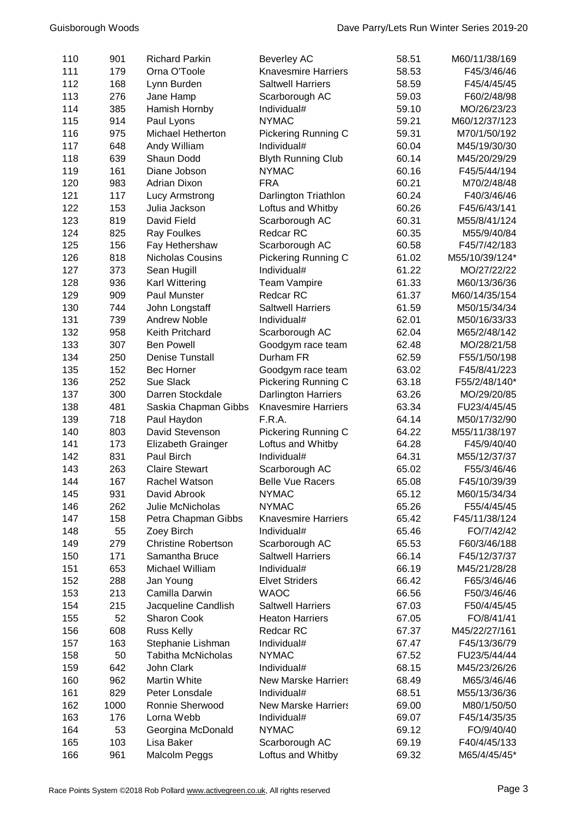| 110 | 901  | <b>Richard Parkin</b>      | <b>Beverley AC</b>         | 58.51 | M60/11/38/169  |
|-----|------|----------------------------|----------------------------|-------|----------------|
| 111 | 179  | Orna O'Toole               | <b>Knavesmire Harriers</b> | 58.53 | F45/3/46/46    |
| 112 | 168  | Lynn Burden                | <b>Saltwell Harriers</b>   | 58.59 | F45/4/45/45    |
| 113 | 276  | Jane Hamp                  | Scarborough AC             | 59.03 | F60/2/48/98    |
| 114 | 385  | Hamish Hornby              | Individual#                | 59.10 | MO/26/23/23    |
| 115 | 914  | Paul Lyons                 | <b>NYMAC</b>               | 59.21 | M60/12/37/123  |
| 116 | 975  | <b>Michael Hetherton</b>   | Pickering Running C        | 59.31 | M70/1/50/192   |
| 117 | 648  | Andy William               | Individual#                | 60.04 | M45/19/30/30   |
| 118 | 639  | Shaun Dodd                 | <b>Blyth Running Club</b>  | 60.14 | M45/20/29/29   |
| 119 | 161  | Diane Jobson               | <b>NYMAC</b>               | 60.16 | F45/5/44/194   |
| 120 | 983  | <b>Adrian Dixon</b>        | <b>FRA</b>                 | 60.21 | M70/2/48/48    |
| 121 | 117  | Lucy Armstrong             | Darlington Triathlon       | 60.24 | F40/3/46/46    |
| 122 | 153  | Julia Jackson              | Loftus and Whitby          | 60.26 | F45/6/43/141   |
| 123 | 819  | David Field                | Scarborough AC             | 60.31 | M55/8/41/124   |
| 124 | 825  | <b>Ray Foulkes</b>         | Redcar RC                  | 60.35 | M55/9/40/84    |
| 125 | 156  | Fay Hethershaw             | Scarborough AC             | 60.58 | F45/7/42/183   |
| 126 | 818  | Nicholas Cousins           | Pickering Running C        | 61.02 | M55/10/39/124* |
| 127 | 373  | Sean Hugill                | Individual#                | 61.22 | MO/27/22/22    |
| 128 | 936  | Karl Wittering             | <b>Team Vampire</b>        | 61.33 | M60/13/36/36   |
| 129 | 909  | Paul Munster               | Redcar RC                  | 61.37 | M60/14/35/154  |
| 130 | 744  | John Longstaff             | <b>Saltwell Harriers</b>   | 61.59 | M50/15/34/34   |
| 131 | 739  | <b>Andrew Noble</b>        | Individual#                | 62.01 | M50/16/33/33   |
| 132 | 958  | Keith Pritchard            | Scarborough AC             | 62.04 | M65/2/48/142   |
| 133 | 307  | <b>Ben Powell</b>          | Goodgym race team          | 62.48 | MO/28/21/58    |
| 134 | 250  | <b>Denise Tunstall</b>     | Durham FR                  | 62.59 | F55/1/50/198   |
| 135 | 152  | <b>Bec Horner</b>          | Goodgym race team          | 63.02 | F45/8/41/223   |
| 136 | 252  | Sue Slack                  | Pickering Running C        | 63.18 | F55/2/48/140*  |
| 137 | 300  | Darren Stockdale           | <b>Darlington Harriers</b> | 63.26 | MO/29/20/85    |
| 138 | 481  | Saskia Chapman Gibbs       | <b>Knavesmire Harriers</b> | 63.34 | FU23/4/45/45   |
| 139 | 718  | Paul Haydon                | F.R.A.                     | 64.14 | M50/17/32/90   |
| 140 | 803  | David Stevenson            | Pickering Running C        | 64.22 | M55/11/38/197  |
| 141 | 173  | Elizabeth Grainger         | Loftus and Whitby          | 64.28 | F45/9/40/40    |
| 142 | 831  | Paul Birch                 | Individual#                | 64.31 | M55/12/37/37   |
| 143 | 263  | <b>Claire Stewart</b>      | Scarborough AC             | 65.02 | F55/3/46/46    |
| 144 | 167  | Rachel Watson              | <b>Belle Vue Racers</b>    | 65.08 | F45/10/39/39   |
| 145 | 931  | David Abrook               | <b>NYMAC</b>               | 65.12 | M60/15/34/34   |
| 146 | 262  | Julie McNicholas           | <b>NYMAC</b>               | 65.26 | F55/4/45/45    |
| 147 | 158  | Petra Chapman Gibbs        | <b>Knavesmire Harriers</b> | 65.42 | F45/11/38/124  |
| 148 | 55   | Zoey Birch                 | Individual#                | 65.46 | FO/7/42/42     |
| 149 | 279  | <b>Christine Robertson</b> | Scarborough AC             | 65.53 | F60/3/46/188   |
| 150 | 171  | Samantha Bruce             | <b>Saltwell Harriers</b>   | 66.14 | F45/12/37/37   |
| 151 | 653  | Michael William            | Individual#                | 66.19 | M45/21/28/28   |
| 152 | 288  | Jan Young                  | <b>Elvet Striders</b>      | 66.42 | F65/3/46/46    |
| 153 | 213  | Camilla Darwin             | <b>WAOC</b>                | 66.56 | F50/3/46/46    |
| 154 | 215  | Jacqueline Candlish        | <b>Saltwell Harriers</b>   | 67.03 | F50/4/45/45    |
| 155 | 52   | Sharon Cook                | <b>Heaton Harriers</b>     | 67.05 | FO/8/41/41     |
| 156 | 608  | <b>Russ Kelly</b>          | Redcar RC                  | 67.37 | M45/22/27/161  |
| 157 | 163  | Stephanie Lishman          | Individual#                | 67.47 | F45/13/36/79   |
| 158 | 50   | <b>Tabitha McNicholas</b>  | <b>NYMAC</b>               | 67.52 | FU23/5/44/44   |
| 159 | 642  | John Clark                 | Individual#                | 68.15 | M45/23/26/26   |
| 160 | 962  | <b>Martin White</b>        | <b>New Marske Harriers</b> | 68.49 | M65/3/46/46    |
| 161 | 829  | Peter Lonsdale             | Individual#                | 68.51 | M55/13/36/36   |
| 162 | 1000 | Ronnie Sherwood            | <b>New Marske Harriers</b> | 69.00 | M80/1/50/50    |
| 163 | 176  | Lorna Webb                 | Individual#                | 69.07 | F45/14/35/35   |
| 164 | 53   | Georgina McDonald          | <b>NYMAC</b>               | 69.12 | FO/9/40/40     |
| 165 | 103  | Lisa Baker                 | Scarborough AC             | 69.19 | F40/4/45/133   |
| 166 | 961  | Malcolm Peggs              | Loftus and Whitby          | 69.32 | M65/4/45/45*   |
|     |      |                            |                            |       |                |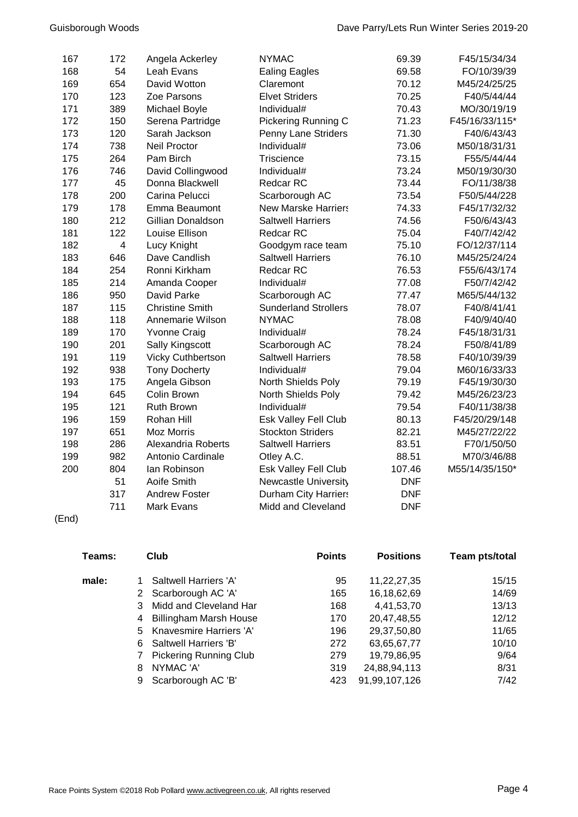| 167 | 172            | Angela Ackerley          | <b>NYMAC</b>                | 69.39      | F45/15/34/34   |
|-----|----------------|--------------------------|-----------------------------|------------|----------------|
| 168 | 54             | Leah Evans               | <b>Ealing Eagles</b>        | 69.58      | FO/10/39/39    |
| 169 | 654            | David Wotton             | Claremont                   | 70.12      | M45/24/25/25   |
| 170 | 123            | Zoe Parsons              | <b>Elvet Striders</b>       | 70.25      | F40/5/44/44    |
| 171 | 389            | Michael Boyle            | Individual#                 | 70.43      | MO/30/19/19    |
| 172 | 150            | Serena Partridge         | Pickering Running C         | 71.23      | F45/16/33/115* |
| 173 | 120            | Sarah Jackson            | Penny Lane Striders         | 71.30      | F40/6/43/43    |
| 174 | 738            | Neil Proctor             | Individual#                 | 73.06      | M50/18/31/31   |
| 175 | 264            | Pam Birch                | Triscience                  | 73.15      | F55/5/44/44    |
| 176 | 746            | David Collingwood        | Individual#                 | 73.24      | M50/19/30/30   |
| 177 | 45             | Donna Blackwell          | Redcar RC                   | 73.44      | FO/11/38/38    |
| 178 | 200            | Carina Pelucci           | Scarborough AC              | 73.54      | F50/5/44/228   |
| 179 | 178            | Emma Beaumont            | <b>New Marske Harriers</b>  | 74.33      | F45/17/32/32   |
| 180 | 212            | Gillian Donaldson        | <b>Saltwell Harriers</b>    | 74.56      | F50/6/43/43    |
| 181 | 122            | Louise Ellison           | Redcar RC                   | 75.04      | F40/7/42/42    |
| 182 | $\overline{4}$ | Lucy Knight              | Goodgym race team           | 75.10      | FO/12/37/114   |
| 183 | 646            | Dave Candlish            | <b>Saltwell Harriers</b>    | 76.10      | M45/25/24/24   |
| 184 | 254            | Ronni Kirkham            | Redcar RC                   | 76.53      | F55/6/43/174   |
| 185 | 214            | Amanda Cooper            | Individual#                 | 77.08      | F50/7/42/42    |
| 186 | 950            | David Parke              | Scarborough AC              | 77.47      | M65/5/44/132   |
| 187 | 115            | <b>Christine Smith</b>   | <b>Sunderland Strollers</b> | 78.07      | F40/8/41/41    |
| 188 | 118            | Annemarie Wilson         | <b>NYMAC</b>                | 78.08      | F40/9/40/40    |
| 189 | 170            | <b>Yvonne Craig</b>      | Individual#                 | 78.24      | F45/18/31/31   |
| 190 | 201            | Sally Kingscott          | Scarborough AC              | 78.24      | F50/8/41/89    |
| 191 | 119            | <b>Vicky Cuthbertson</b> | <b>Saltwell Harriers</b>    | 78.58      | F40/10/39/39   |
| 192 | 938            | <b>Tony Docherty</b>     | Individual#                 | 79.04      | M60/16/33/33   |
| 193 | 175            | Angela Gibson            | North Shields Poly          | 79.19      | F45/19/30/30   |
| 194 | 645            | Colin Brown              | North Shields Poly          | 79.42      | M45/26/23/23   |
| 195 | 121            | Ruth Brown               | Individual#                 | 79.54      | F40/11/38/38   |
| 196 | 159            | Rohan Hill               | Esk Valley Fell Club        | 80.13      | F45/20/29/148  |
| 197 | 651            | <b>Moz Morris</b>        | <b>Stockton Striders</b>    | 82.21      | M45/27/22/22   |
| 198 | 286            | Alexandria Roberts       | <b>Saltwell Harriers</b>    | 83.51      | F70/1/50/50    |
| 199 | 982            | Antonio Cardinale        | Otley A.C.                  | 88.51      | M70/3/46/88    |
| 200 | 804            | lan Robinson             | Esk Valley Fell Club        | 107.46     | M55/14/35/150* |
|     | 51             | Aoife Smith              | Newcastle University        | <b>DNF</b> |                |
|     | 317            | <b>Andrew Foster</b>     | <b>Durham City Harriers</b> | <b>DNF</b> |                |
|     | 711            | <b>Mark Evans</b>        | Midd and Cleveland          | <b>DNF</b> |                |

(End)

| Teams: |   | Club                          | <b>Points</b> | <b>Positions</b> | Team pts/total |
|--------|---|-------------------------------|---------------|------------------|----------------|
| male:  |   | Saltwell Harriers 'A'         | 95            | 11,22,27,35      | 15/15          |
|        | 2 | Scarborough AC 'A'            | 165           | 16,18,62,69      | 14/69          |
|        | 3 | Midd and Cleveland Har        | 168           | 4,41,53,70       | 13/13          |
|        | 4 | <b>Billingham Marsh House</b> | 170           | 20,47,48,55      | 12/12          |
|        | 5 | Knavesmire Harriers 'A'       | 196           | 29,37,50,80      | 11/65          |
|        | 6 | Saltwell Harriers 'B'         | 272           | 63,65,67,77      | 10/10          |
|        |   | <b>Pickering Running Club</b> | 279           | 19,79,86,95      | 9/64           |
|        | 8 | NYMAC 'A'                     | 319           | 24,88,94,113     | 8/31           |
|        | 9 | Scarborough AC 'B'            | 423           | 91,99,107,126    | 7/42           |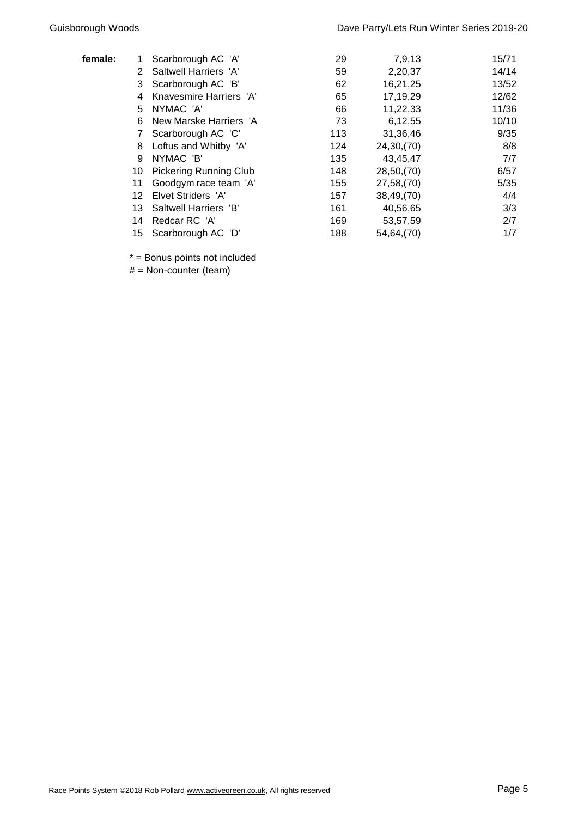| female: |    | Scarborough AC 'A'            | 29  | 7,9,13     | 15/71 |
|---------|----|-------------------------------|-----|------------|-------|
|         | 2  | Saltwell Harriers 'A'         | 59  | 2,20,37    | 14/14 |
|         | 3  | Scarborough AC 'B'            | 62  | 16,21,25   | 13/52 |
|         | 4  | Knavesmire Harriers 'A'       | 65  | 17,19,29   | 12/62 |
|         | 5. | NYMAC 'A'                     | 66  | 11,22,33   | 11/36 |
|         | 6  | New Marske Harriers 'A        | 73  | 6,12,55    | 10/10 |
|         |    | Scarborough AC 'C'            | 113 | 31,36,46   | 9/35  |
|         | 8  | Loftus and Whitby 'A'         | 124 | 24,30,(70) | 8/8   |
|         | 9  | NYMAC 'B'                     | 135 | 43,45,47   | 7/7   |
|         | 10 | <b>Pickering Running Club</b> | 148 | 28,50,(70) | 6/57  |
|         | 11 | Goodgym race team 'A'         | 155 | 27,58,(70) | 5/35  |
|         | 12 | Elvet Striders 'A'            | 157 | 38,49,(70) | 4/4   |
|         | 13 | Saltwell Harriers 'B'         | 161 | 40,56,65   | 3/3   |
|         | 14 | Redcar RC 'A'                 | 169 | 53,57,59   | 2/7   |
|         | 15 | Scarborough AC 'D'            | 188 | 54,64,(70) | 1/7   |
|         |    |                               |     |            |       |

\* = Bonus points not included

 $#$  = Non-counter (team)